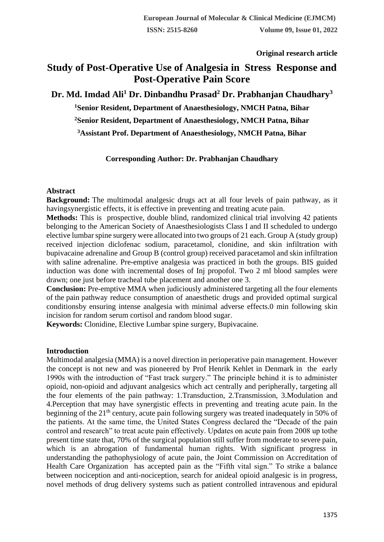**Original research article** 

# **Study of Post-Operative Use of Analgesia in Stress Response and Post-Operative Pain Score**

**Dr. Md. Imdad Ali<sup>1</sup> Dr. Dinbandhu Prasad<sup>2</sup> Dr. Prabhanjan Chaudhary<sup>3</sup>**

**<sup>1</sup>Senior Resident, Department of Anaesthesiology, NMCH Patna, Bihar**

**<sup>2</sup>Senior Resident, Department of Anaesthesiology, NMCH Patna, Bihar**

**<sup>3</sup>Assistant Prof. Department of Anaesthesiology, NMCH Patna, Bihar**

**Corresponding Author: Dr. Prabhanjan Chaudhary**

## **Abstract**

**Background:** The multimodal analgesic drugs act at all four levels of pain pathway, as it having synergistic effects, it is effective in preventing and treating acute pain.

**Methods:** This is prospective, double blind, randomized clinical trial involving 42 patients belonging to the American Society of Anaesthesiologists Class I and II scheduled to undergo elective lumbar spine surgery were allocated into two groups of 21 each. Group A (study group) received injection diclofenac sodium, paracetamol, clonidine, and skin infiltration with bupivacaine adrenaline and Group B (control group) received paracetamol and skin infiltration with saline adrenaline. Pre-emptive analgesia was practiced in both the groups. BIS guided induction was done with incremental doses of Inj propofol. Two 2 ml blood samples were drawn; one just before tracheal tube placement and another one 3.

**Conclusion:** Pre-emptive MMA when judiciously administered targeting all the four elements of the pain pathway reduce consumption of anaesthetic drugs and provided optimal surgical conditionsby ensuring intense analgesia with minimal adverse effects.0 min following skin incision for random serum cortisol and random blood sugar.

**Keywords:** Clonidine, Elective Lumbar spine surgery, Bupivacaine.

# **Introduction**

Multimodal analgesia (MMA) is a novel direction in perioperative pain management. However the concept is not new and was pioneered by Prof Henrik Kehlet in Denmark in the early 1990s with the introduction of "Fast track surgery." The principle behind it is to administer opioid, non-opioid and adjuvant analgesics which act centrally and peripherally, targeting all the four elements of the pain pathway: 1.Transduction, 2.Transmission, 3.Modulation and 4.Perception that may have synergistic effects in preventing and treating acute pain. In the beginning of the 21<sup>th</sup> century, acute pain following surgery was treated inadequately in 50% of the patients. At the same time, the United States Congress declared the "Decade of the pain control and research" to treat acute pain effectively. Updates on acute pain from 2008 up tothe present time state that, 70% of the surgical population still suffer from moderate to severe pain, which is an abrogation of fundamental human rights. With significant progress in understanding the pathophysiology of acute pain, the Joint Commission on Accreditation of Health Care Organization has accepted pain as the "Fifth vital sign." To strike a balance between nociception and anti-nociception, search for anideal opioid analgesic is in progress, novel methods of drug delivery systems such as patient controlled intravenous and epidural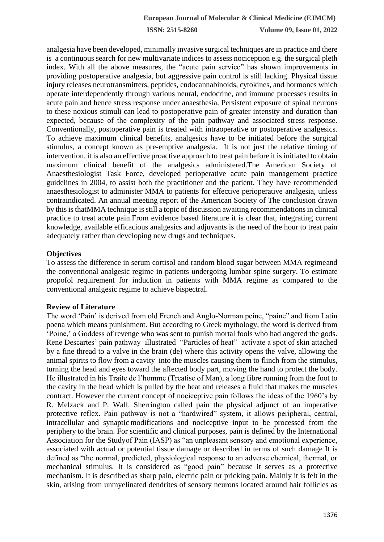analgesia have been developed, minimally invasive surgical techniques are in practice and there is a continuous search for new multivariate indices to assess nociception e.g. the surgical pleth index. With all the above measures, the "acute pain service" has shown improvements in providing postoperative analgesia, but aggressive pain control is still lacking. Physical tissue injury releases neurotransmitters, peptides, endocannabinoids, cytokines, and hormones which operate interdependently through various neural, endocrine, and immune processes results in acute pain and hence stress response under anaesthesia. Persistent exposure of spinal neurons to these noxious stimuli can lead to postoperative pain of greater intensity and duration than expected, because of the complexity of the pain pathway and associated stress response. Conventionally, postoperative pain is treated with intraoperative or postoperative analgesics. To achieve maximum clinical benefits, analgesics have to be initiated before the surgical stimulus, a concept known as pre-emptive analgesia. It is not just the relative timing of intervention, it is also an effective proactive approach to treat pain before it is initiated to obtain maximum clinical benefit of the analgesics administered.The American Society of Anaesthesiologist Task Force, developed perioperative acute pain management practice guidelines in 2004, to assist both the practitioner and the patient. They have recommended anaesthesiologist to administer MMA to patients for effective perioperative analgesia, unless contraindicated. An annual meeting report of the American Society of The conclusion drawn by this is thatMMA technique is still a topic of discussion awaiting recommendations in clinical practice to treat acute pain.From evidence based literature it is clear that, integrating current knowledge, available efficacious analgesics and adjuvants is the need of the hour to treat pain adequately rather than developing new drugs and techniques.

#### **Objectives**

To assess the difference in serum cortisol and random blood sugar between MMA regimeand the conventional analgesic regime in patients undergoing lumbar spine surgery. To estimate propofol requirement for induction in patients with MMA regime as compared to the conventional analgesic regime to achieve bispectral.

#### **Review of Literature**

The word 'Pain' is derived from old French and Anglo-Norman peine, "paine" and from Latin poena which means punishment. But according to Greek mythology, the word is derived from 'Poine,' a Goddess of revenge who was sent to punish mortal fools who had angered the gods. Rene Descartes' pain pathway illustrated "Particles of heat" activate a spot of skin attached by a fine thread to a valve in the brain (de) where this activity opens the valve, allowing the animal spirits to flow from a cavity into the muscles causing them to flinch from the stimulus, turning the head and eyes toward the affected body part, moving the hand to protect the body. He illustrated in his Traite de l'homme (Treatise of Man), a long fibre running from the foot to the cavity in the head which is pulled by the heat and releases a fluid that makes the muscles contract. However the current concept of nociceptive pain follows the ideas of the 1960's by R. Melzack and P. Wall. Sherrington called pain the physical adjunct of an imperative protective reflex. Pain pathway is not a "hardwired" system, it allows peripheral, central, intracellular and synaptic modifications and nociceptive input to be processed from the periphery to the brain. For scientific and clinical purposes, pain is defined by the International Association for the Studyof Pain (IASP) as "an unpleasant sensory and emotional experience, associated with actual or potential tissue damage or described in terms of such damage It is defined as "the normal, predicted, physiological response to an adverse chemical, thermal, or mechanical stimulus. It is considered as "good pain" because it serves as a protective mechanism. It is described as sharp pain, electric pain or pricking pain. Mainly it is felt in the skin, arising from unmyelinated dendrites of sensory neurons located around hair follicles as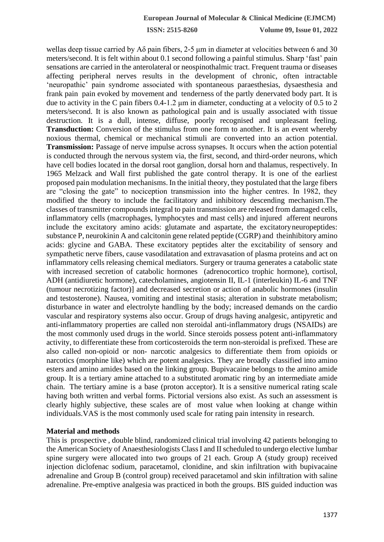wellas deep tissue carried by Aδ pain fibers, 2-5 μm in diameter at velocities between 6 and 30 meters/second. It is felt within about 0.1 second following a painful stimulus. Sharp 'fast' pain sensations are carried in the anterolateral or neospinothalmic tract. Frequent trauma or diseases affecting peripheral nerves results in the development of chronic, often intractable 'neuropathic' pain syndrome associated with spontaneous paraesthesias, dysaesthesia and frank pain pain evoked by movement and tenderness of the partly denervated body part. It is due to activity in the C pain fibers 0.4-1.2 μm in diameter, conducting at a velocity of 0.5 to 2 meters/second. It is also known as pathological pain and is usually associated with tissue destruction. It is a dull, intense, diffuse, poorly recognised and unpleasant feeling. **Transduction:** Conversion of the stimulus from one form to another. It is an event whereby noxious thermal, chemical or mechanical stimuli are converted into an action potential. **Transmission:** Passage of nerve impulse across synapses. It occurs when the action potential is conducted through the nervous system via, the first, second, and third-order neurons, which have cell bodies located in the dorsal root ganglion, dorsal horn and thalamus, respectively. In 1965 Melzack and Wall first published the gate control therapy. It is one of the earliest proposed pain modulation mechanisms. In the initial theory, they postulated that the large fibers are "closing the gate" to nociception transmission into the higher centres. In 1982, they modified the theory to include the facilitatory and inhibitory descending mechanism.The classes of transmitter compounds integral to pain transmission are released from damaged cells, inflammatory cells (macrophages, lymphocytes and mast cells) and injured afferent neurons include the excitatory amino acids: glutamate and aspartate, the excitatoryneuropeptides: substance P, neurokinin A and calcitonin gene related peptide (CGRP) and theinhibitory amino acids: glycine and GABA. These excitatory peptides alter the excitability of sensory and sympathetic nerve fibers, cause vasodilatation and extravasation of plasma proteins and act on inflammatory cells releasing chemical mediators. Surgery or trauma generates a catabolic state with increased secretion of catabolic hormones (adrenocortico trophic hormone), cortisol, ADH (antidiuretic hormone), catecholamines, angiotensin II, IL-1 (interleukin) IL-6 and TNF (tumour necrotizing factor)] and decreased secretion or action of anabolic hormones (insulin and testosterone). Nausea, vomiting and intestinal stasis; alteration in substrate metabolism; disturbance in water and electrolyte handling by the body; increased demands on the cardio vascular and respiratory systems also occur. Group of drugs having analgesic, antipyretic and anti-inflammatory properties are called non steroidal anti-inflammatory drugs (NSAIDs) are the most commonly used drugs in the world. Since steroids possess potent anti-inflammatory activity, to differentiate these from corticosteroids the term non-steroidal is prefixed. These are also called non-opioid or non- narcotic analgesics to differentiate them from opioids or narcotics (morphine like) which are potent analgesics. They are broadly classified into amino esters and amino amides based on the linking group. Bupivacaine belongs to the amino amide group. It is a tertiary amine attached to a substituted aromatic ring by an intermediate amide chain. The tertiary amine is a base (proton acceptor). It is a sensitive numerical rating scale having both written and verbal forms. Pictorial versions also exist. As such an assessment is clearly highly subjective, these scales are of most value when looking at change within individuals.VAS is the most commonly used scale for rating pain intensity in research.

#### **Material and methods**

This is prospective , double blind, randomized clinical trial involving 42 patients belonging to the American Society of Anaesthesiologists Class I and II scheduled to undergo elective lumbar spine surgery were allocated into two groups of 21 each. Group A (study group) received injection diclofenac sodium, paracetamol, clonidine, and skin infiltration with bupivacaine adrenaline and Group B (control group) received paracetamol and skin infiltration with saline adrenaline. Pre-emptive analgesia was practiced in both the groups. BIS guided induction was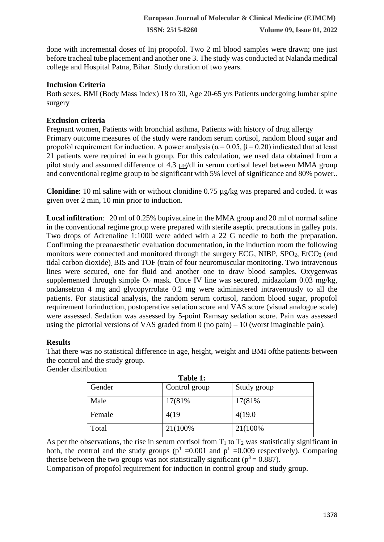done with incremental doses of Inj propofol. Two 2 ml blood samples were drawn; one just before tracheal tube placement and another one 3. The study was conducted at Nalanda medical college and Hospital Patna, Bihar. Study duration of two years.

#### **Inclusion Criteria**

Both sexes, BMI (Body Mass Index) 18 to 30, Age 20-65 yrs Patients undergoing lumbar spine surgery

#### **Exclusion criteria**

Pregnant women, Patients with bronchial asthma, Patients with history of drug allergy Primary outcome measures of the study were random serum cortisol, random blood sugar and propofol requirement for induction. A power analysis ( $\alpha$  = 0.05,  $\beta$  = 0.20) indicated that at least 21 patients were required in each group. For this calculation, we used data obtained from a pilot study and assumed difference of 4.3 µg/dl in serum cortisol level between MMA group and conventional regime group to be significant with 5% level of significance and 80% power..

**Clonidine**: 10 ml saline with or without clonidine 0.75 µg/kg was prepared and coded. It was given over 2 min, 10 min prior to induction.

**Local infiltration**: 20 ml of 0.25% bupivacaine in the MMA group and 20 ml of normal saline in the conventional regime group were prepared with sterile aseptic precautions in galley pots. Two drops of Adrenaline 1:1000 were added with a 22 G needle to both the preparation. Confirming the preanaesthetic evaluation documentation, in the induction room the following monitors were connected and monitored through the surgery ECG, NIBP,  $SPO<sub>2</sub>$ , EtCO<sub>2</sub> (end tidal carbon dioxide), BIS and TOF (train of four neuromuscular monitoring. Two intravenous lines were secured, one for fluid and another one to draw blood samples. Oxygenwas supplemented through simple  $O_2$  mask. Once IV line was secured, midazolam 0.03 mg/kg, ondansetron 4 mg and glycopyrrolate 0.2 mg were administered intravenously to all the patients. For statistical analysis, the random serum cortisol, random blood sugar, propofol requirement forinduction, postoperative sedation score and VAS score (visual analogue scale) were assessed. Sedation was assessed by 5-point Ramsay sedation score. Pain was assessed using the pictorial versions of VAS graded from  $0$  (no pain) – 10 (worst imaginable pain).

#### **Results**

That there was no statistical difference in age, height, weight and BMI ofthe patients between the control and the study group.

Gender distribution

| Table 1: |               |             |  |  |  |
|----------|---------------|-------------|--|--|--|
| Gender   | Control group | Study group |  |  |  |
| Male     | 17(81%)       | 17(81%)     |  |  |  |
| Female   | 4(19)         | 4(19.0)     |  |  |  |
| Total    | 21(100%)      | 21(100%)    |  |  |  |

As per the observations, the rise in serum cortisol from  $T_1$  to  $T_2$  was statistically significant in both, the control and the study groups ( $p^1$  =0.001 and  $p^1$  =0.009 respectively). Comparing therise between the two groups was not statistically significant ( $p^3 = 0.887$ ).

Comparison of propofol requirement for induction in control group and study group.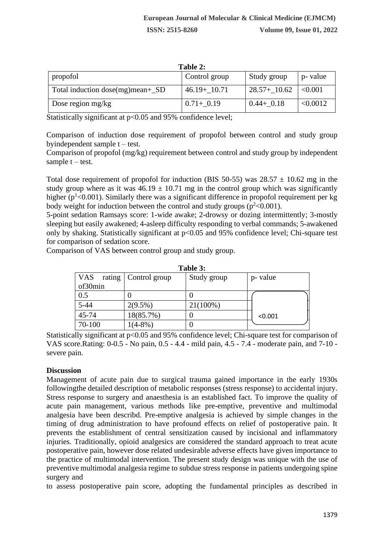| Table 2:                             |                 |                 |          |  |  |  |
|--------------------------------------|-----------------|-----------------|----------|--|--|--|
| propofol                             | Control group   | Study group     | p- value |  |  |  |
| Total induction $dose(mg)mean + _SD$ | $46.19 + 10.71$ | $28.57 + 10.62$ | < 0.001  |  |  |  |
| Dose region $mg/kg$                  | $ 0.71 + 0.19 $ | $0.44 + 0.18$   | < 0.0012 |  |  |  |

Statistically significant at  $p<0.05$  and 95% confidence level;

Comparison of induction dose requirement of propofol between control and study group byindependent sample t – test.

Comparison of propofol (mg/kg) requirement between control and study group by independent sample  $t - test$ .

Total dose requirement of propofol for induction (BIS 50-55) was  $28.57 \pm 10.62$  mg in the study group where as it was  $46.19 \pm 10.71$  mg in the control group which was significantly higher ( $p<sup>1</sup><0.001$ ). Similarly there was a significant difference in propofol requirement per kg body weight for induction between the control and study groups ( $p^2 < 0.001$ ).

5-point sedation Ramsays score: 1-wide awake; 2-drowsy or dozing intermittently; 3-mostly sleeping but easily awakened; 4-asleep difficulty responding to verbal commands; 5-awakened only by shaking. Statistically significant at p<0.05 and 95% confidence level; Chi-square test for comparison of sedation score.

Comparison of VAS between control group and study group.

| 1 apie 5:  |        |               |             |          |  |  |
|------------|--------|---------------|-------------|----------|--|--|
| <b>VAS</b> | rating | Control group | Study group | p- value |  |  |
| of30min    |        |               |             |          |  |  |
| 0.5        |        |               |             |          |  |  |
| $5 - 44$   |        | $2(9.5\%)$    | $21(100\%)$ |          |  |  |
| 45-74      |        | 18(85.7%)     |             | < 0.001  |  |  |
| 70-100     |        | $1(4-8%)$     |             |          |  |  |

**Table 3:** 

Statistically significant at  $p<0.05$  and 95% confidence level; Chi-square test for comparison of VAS score.Rating: 0-0.5 - No pain, 0.5 - 4.4 - mild pain, 4.5 - 7.4 - moderate pain, and 7-10 severe pain.

### **Discussion**

Management of acute pain due to surgical trauma gained importance in the early 1930s followingthe detailed description of metabolic responses (stress response) to accidental injury. Stress response to surgery and anaesthesia is an established fact. To improve the quality of acute pain management, various methods like pre-emptive, preventive and multimodal analgesia have been describd. Pre-emptive analgesia is achieved by simple changes in the timing of drug administration to have profound effects on relief of postoperative pain. It prevents the establishment of central sensitization caused by incisional and inflammatory injuries. Traditionally, opioid analgesics are considered the standard approach to treat acute postoperative pain, however dose related undesirable adverse effects have given importance to the practice of multimodal intervention. The present study design was unique with the use of preventive multimodal analgesia regime to subdue stress response in patients undergoing spine surgery and

to assess postoperative pain score, adopting the fundamental principles as described in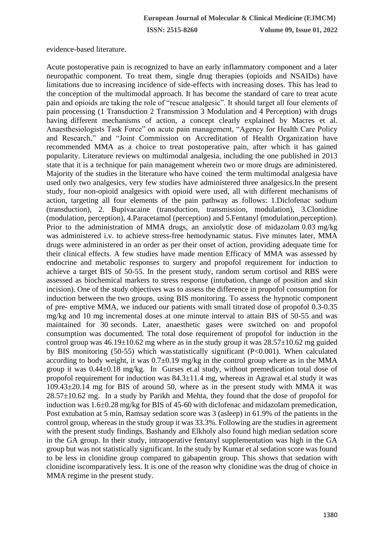evidence-based literature.

Acute postoperative pain is recognized to have an early inflammatory component and a later neuropathic component. To treat them, single drug therapies (opioids and NSAIDs) have limitations due to increasing incidence of side-effects with increasing doses. This has lead to the conception of the multimodal approach. It has become the standard of care to treat acute pain and opioids are taking the role of "rescue analgesic". It should target all four elements of pain processing (1 Transduction 2 Transmission 3 Modulation and 4 Perception) with drugs having different mechanisms of action, a concept clearly explained by Macres et al. Anaesthesiologists Task Force" on acute pain management, "Agency for Health Care Policy and Research," and "Joint Commission on Accreditation of Health Organization have recommended MMA as a choice to treat postoperative pain, after which it has gained popularity. Literature reviews on multimodal analgesia, including the one published in 2013 state that it is a technique for pain management wherein two or more drugs are administered. Majority of the studies in the literature who have coined the term multimodal analgesia have used only two analgesics, very few studies have administered three analgesics.In the present study, four non-opioid analgesics with opioid were used, all with different mechanisms of action, targeting all four elements of the pain pathway as follows: 1.Diclofenac sodium (transduction), 2. Bupivacaine (transduction, transmission, modulation), 3.Clonidine (modulation, perception), 4.Paracetamol (perception) and 5.Fentanyl (modulation,perception). Prior to the administration of MMA drugs, an anxiolytic dose of midazolam 0.03 mg/kg was administered i.v. to achieve stress-free hemodynamic status. Five minutes later, MMA drugs were administered in an order as per their onset of action, providing adequate time for their clinical effects. A few studies have made mention Efficacy of MMA was assessed by endocrine and metabolic responses to surgery and propofol requirement for induction to achieve a target BIS of 50-55. In the present study, random serum cortisol and RBS were assessed as biochemical markers to stress response (intubation, change of position and skin incision). One of the study objectives was to assess the difference in propofol consumption for induction between the two groups, using BIS monitoring. To assess the hypnotic component of pre- emptive MMA, we induced our patients with small titrated dose of propofol 0.3-0.35 mg/kg and 10 mg incremental doses at one minute interval to attain BIS of 50-55 and was maintained for 30 seconds. Later, anaesthetic gases were switched on and propofol consumption was documented. The total dose requirement of propofol for induction in the control group was  $46.19\pm10.62$  mg where as in the study group it was  $28.57\pm10.62$  mg guided by BIS monitoring (50-55) which wasstatistically significant (P<0.001). When calculated according to body weight, it was  $0.7\pm0.19$  mg/kg in the control group where as in the MMA group it was 0.44±0.18 mg/kg. In Gurses et.al study, without premedication total dose of propofol requirement for induction was  $84.3 \pm 11.4$  mg, whereas in Agrawal et.al study it was 109.43±20.14 mg for BIS of around 50, where as in the present study with MMA it was  $28.57\pm10.62$  mg. In a study by Parikh and Mehta, they found that the dose of propofol for induction was 1.6±0.28 mg/kg for BIS of 45-60 with diclofenac and midazolam premedication, Post extubation at 5 min, Ramsay sedation score was 3 (asleep) in 61.9% of the patients in the control group, whereas in the study group it was 33.3%. Following are the studies in agreement with the present study findings. Bashandy and Elkholy also found high median sedation score in the GA group. In their study, intraoperative fentanyl supplementation was high in the GA group but was not statistically significant. In the study by Kumar et al sedation score was found to be less in clonidine group compared to gabapentin group. This shows that sedation with clonidine iscomparatively less. It is one of the reason why clonidine was the drug of choice in MMA regime in the present study.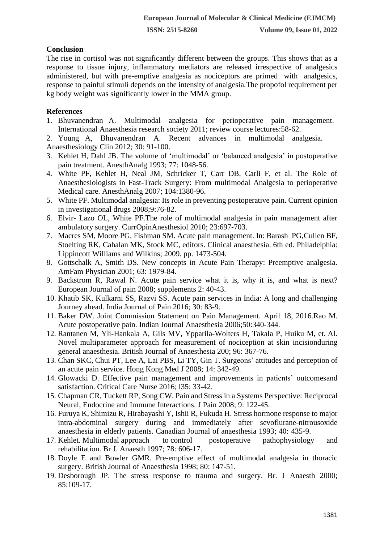#### **Conclusion**

The rise in cortisol was not significantly different between the groups. This shows that as a response to tissue injury, inflammatory mediators are released irrespective of analgesics administered, but with pre-emptive analgesia as nociceptors are primed with analgesics, response to painful stimuli depends on the intensity of analgesia.The propofol requirement per kg body weight was significantly lower in the MMA group.

### **References**

1. Bhuvanendran A. Multimodal analgesia for perioperative pain management. International Anaesthesia research society 2011; review course lectures:58-62.

2. Young A, Bhuvanendran A. Recent advances in multimodal analgesia.

Anaesthesiology Clin 2012; 30: 91-100.

- 3. Kehlet H, Dahl JB. The volume of 'multimodal' or 'balanced analgesia' in postoperative pain treatment. AnesthAnalg 1993; 77: 1048-56.
- 4. White PF, Kehlet H, Neal JM, Schricker T, Carr DB, Carli F, et al. The Role of Anaesthesiologists in Fast-Track Surgery: From multimodal Analgesia to perioperative Medical care. AnesthAnalg 2007; 104:1380-96.
- 5. White PF. Multimodal analgesia: Its role in preventing postoperative pain. Current opinion in investigational drugs 2008;9:76-82.
- 6. Elvir- Lazo OL, White PF.The role of multimodal analgesia in pain management after ambulatory surgery. CurrOpinAnesthesiol 2010; 23:697-703.
- 7. Macres SM, Moore PG, Fishman SM. Acute pain management. In: Barash PG,Cullen BF, Stoelting RK, Cahalan MK, Stock MC, editors. Clinical anaesthesia. 6th ed. Philadelphia: Lippincott Williams and Wilkins; 2009. pp. 1473-504.
- 8. Gottschalk A, Smith DS. New concepts in Acute Pain Therapy: Preemptive analgesia. AmFam Physician 2001; 63: 1979-84.
- 9. Backstrom R, Rawal N. Acute pain service what it is, why it is, and what is next? European Journal of pain 2008; supplements 2: 40-43.
- 10. Khatib SK, Kulkarni SS, Razvi SS. Acute pain services in India: A long and challenging Journey ahead. India Journal of Pain 2016; 30: 83-9.
- 11. Baker DW. Joint Commission Statement on Pain Management. April 18, 2016.Rao M. Acute postoperative pain. Indian Journal Anaesthesia 2006;50:340-344.
- 12. Rantanen M, Yli-Hankala A, Gils MV, Ypparila-Wolters H, Takala P, Huiku M, et. Al. Novel multiparameter approach for measurement of nociception at skin incisionduring general anaesthesia. British Journal of Anaesthesia 200; 96: 367-76.
- 13. Chan SKC, Chui PT, Lee A, Lai PBS, Li TY, Gin T. Surgeons' attitudes and perception of an acute pain service. Hong Kong Med J 2008; 14: 342-49.
- 14. Glowacki D. Effective pain management and improvements in patients' outcomesand satisfaction. Critical Care Nurse 2016; l35: 33-42.
- 15. Chapman CR, Tuckett RP, Song CW. Pain and Stress in a Systems Perspective: Reciprocal Neural, Endocrine and Immune Interactions. J Pain 2008; 9: 122-45.
- 16. Furuya K, Shimizu R, Hirabayashi Y, Ishii R, Fukuda H. Stress hormone response to major intra-abdominal surgery during and immediately after sevoflurane-nitrousoxide anaesthesia in elderly patients. Canadian Journal of anaesthesia 1993; 40: 435-9.
- 17. Kehlet. Multimodal approach to control postoperative pathophysiology and rehabilitation. Br J. Anaesth 1997; 78: 606-17.
- 18. Doyle E and Bowler GMR. Pre-emptive effect of multimodal analgesia in thoracic surgery. British Journal of Anaesthesia 1998; 80: 147-51.
- 19. Desborough JP. The stress response to trauma and surgery. Br. J Anaesth 2000; 85:109-17.